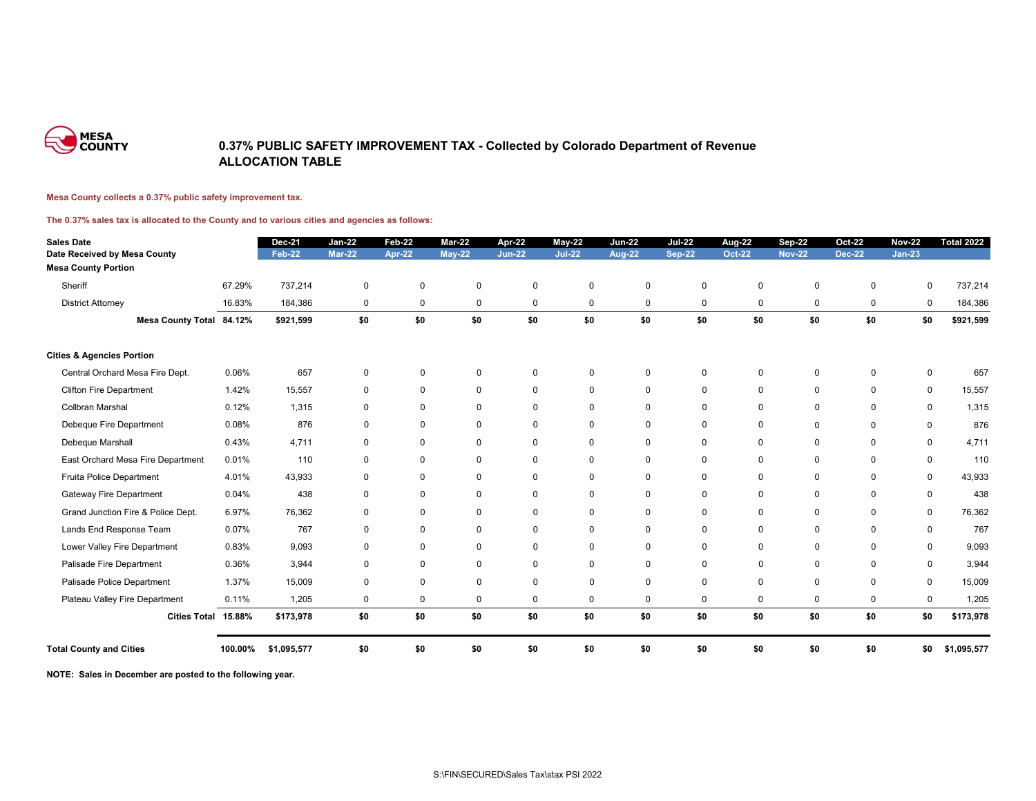

### **0.37% PUBLIC SAFETY IMPROVEMENT TAX - Collected by Colorado Department of Revenue ALLOCATION TABLE**

#### **Mesa County collects a 0.37% public safety improvement tax.**

#### **The 0.37% sales tax is allocated to the County and to various cities and agencies as follows:**

| <b>Sales Date</b>                    |         | <b>Dec-21</b> | <b>Jan-22</b>    | <b>Feb-22</b> | <b>Mar-22</b>    | Apr-22         | $May-22$       | <b>Jun-22</b> | <b>Jul-22</b>    | Aug-22           | <b>Sep-22</b> | <b>Oct-22</b> | <b>Nov-22</b>  | <b>Total 2022</b> |
|--------------------------------------|---------|---------------|------------------|---------------|------------------|----------------|----------------|---------------|------------------|------------------|---------------|---------------|----------------|-------------------|
| Date Received by Mesa County         |         | <b>Feb-22</b> | <b>Mar-22</b>    | <b>Apr-22</b> | $May-22$         | <b>Jun-22</b>  | <b>Jul-22</b>  | <b>Aug-22</b> | <b>Sep-22</b>    | <b>Oct-22</b>    | <b>Nov-22</b> | <b>Dec-22</b> | $Jan-23$       |                   |
| <b>Mesa County Portion</b>           |         |               |                  |               |                  |                |                |               |                  |                  |               |               |                |                   |
| Sheriff                              | 67.29%  | 737,214       | $\mathbf 0$      | $\mathbf 0$   | $\mathbf 0$      | $\mathbf 0$    | $\mathbf 0$    | $\mathbf 0$   | $\pmb{0}$        | $\mathbf 0$      | $\mathbf 0$   | $\pmb{0}$     | 0              | 737,214           |
| <b>District Attorney</b>             | 16.83%  | 184,386       | $\mathbf 0$      | $\mathbf 0$   | $\boldsymbol{0}$ | $\mathbf 0$    | $\mathbf 0$    | $\mathbf 0$   | $\boldsymbol{0}$ | $\boldsymbol{0}$ | 0             | $\mathbf 0$   | $\pmb{0}$      | 184,386           |
| Mesa County Total 84.12%             |         | \$921,599     | \$0              | \$0           | \$0              | \$0            | \$0            | \$0           | \$0              | \$0              | \$0           | \$0           | \$0            | \$921,599         |
| <b>Cities &amp; Agencies Portion</b> |         |               |                  |               |                  |                |                |               |                  |                  |               |               |                |                   |
| Central Orchard Mesa Fire Dept.      | 0.06%   | 657           | $\mathbf 0$      | $\mathbf{0}$  | $\mathbf 0$      | $\mathbf 0$    | $\overline{0}$ | $\mathbf{0}$  | $\mathbf 0$      | $\mathbf{0}$     | $\Omega$      | $\mathbf 0$   | $\overline{0}$ | 657               |
| <b>Clifton Fire Department</b>       | 1.42%   | 15,557        | $\mathbf 0$      | $\mathbf{0}$  | $\mathbf 0$      | $\mathbf 0$    | $\mathbf 0$    | $\mathbf 0$   | $\mathbf 0$      | $\mathbf 0$      | $\mathbf 0$   | $\mathbf 0$   | $\mathbf 0$    | 15,557            |
| Collbran Marshal                     | 0.12%   | 1,315         | $\mathbf 0$      | $\mathbf{0}$  | $\mathbf 0$      | $\overline{0}$ | 0              | $\mathbf 0$   | $\mathbf 0$      | $\mathbf{0}$     | $\mathbf{0}$  | $\mathbf{0}$  | $\mathbf 0$    | 1,315             |
| Debeque Fire Department              | 0.08%   | 876           | $\mathbf 0$      | $\mathbf 0$   | 0                | $\mathbf 0$    | $\mathbf 0$    | $\mathbf 0$   | $\mathbf 0$      | $\mathbf 0$      | $\mathbf 0$   | 0             | $\mathbf 0$    | 876               |
| Debeque Marshall                     | 0.43%   | 4,711         | $\mathbf 0$      | 0             | $\mathbf 0$      | $\mathbf 0$    | $\overline{0}$ | $\mathbf 0$   | $\mathbf 0$      | $\Omega$         | $\mathbf 0$   | $\mathbf{0}$  | $\mathbf 0$    | 4,711             |
| East Orchard Mesa Fire Department    | 0.01%   | 110           | $\mathbf 0$      | 0             | 0                | $\mathbf 0$    | $\mathbf{0}$   | $\mathbf 0$   | $\mathbf 0$      | $\mathbf{0}$     | 0             | $\Omega$      | $\mathbf 0$    | 110               |
| Fruita Police Department             | 4.01%   | 43,933        | $\mathbf 0$      | $\mathbf 0$   | $\mathbf 0$      | $\mathbf 0$    | $\overline{0}$ | $\mathbf 0$   | $\mathbf 0$      | $\mathbf 0$      | $\mathbf 0$   | $\mathbf 0$   | $\mathbf 0$    | 43,933            |
| <b>Gateway Fire Department</b>       | 0.04%   | 438           | $\mathbf 0$      | $\mathbf 0$   | $\mathbf 0$      | $\mathbf 0$    | $\mathbf 0$    | $\mathbf 0$   | $\mathbf 0$      | $\mathbf 0$      | $\mathbf 0$   | $\Omega$      | $\mathbf 0$    | 438               |
| Grand Junction Fire & Police Dept.   | 6.97%   | 76,362        | $\mathbf 0$      | $\mathbf 0$   | $\mathbf 0$      | $\mathbf 0$    | $\mathbf 0$    | $\mathbf 0$   | $\mathbf 0$      | $\mathbf 0$      | $\mathbf 0$   | $\mathbf 0$   | $\mathbf 0$    | 76,362            |
| Lands End Response Team              | 0.07%   | 767           | $\mathbf 0$      | $\mathbf 0$   | $\mathbf 0$      | $\mathbf 0$    | $\mathbf 0$    | $\mathbf 0$   | $\mathbf 0$      | $\mathbf 0$      | $\mathbf 0$   | $\Omega$      | $\mathbf 0$    | 767               |
| Lower Valley Fire Department         | 0.83%   | 9,093         | $\boldsymbol{0}$ | $\mathbf 0$   | 0                | $\mathbf 0$    | $\mathbf 0$    | $\mathbf 0$   | $\mathbf 0$      | $\mathbf 0$      | $\mathbf 0$   | $\mathbf 0$   | $\mathbf 0$    | 9,093             |
| Palisade Fire Department             | 0.36%   | 3,944         | $\mathbf 0$      | $\Omega$      | 0                | $\mathbf 0$    | $\mathbf 0$    | $\Omega$      | $\mathbf 0$      | $\mathbf 0$      | $\Omega$      | $\Omega$      | $\mathbf 0$    | 3,944             |
| Palisade Police Department           | 1.37%   | 15,009        | $\mathbf 0$      | $\Omega$      | $\pmb{0}$        | $\mathbf 0$    | $\mathbf 0$    | $\mathbf 0$   | $\mathbf 0$      | $\mathbf 0$      | $\mathbf 0$   | $\mathbf 0$   | $\mathbf 0$    | 15,009            |
| Plateau Valley Fire Department       | 0.11%   | 1,205         | $\mathbf 0$      | $\mathbf 0$   | $\mathbf 0$      | $\mathbf 0$    | 0              | $\mathbf 0$   | $\mathbf 0$      | $\mathbf 0$      | $\mathbf 0$   | 0             | $\mathbf 0$    | 1,205             |
| Cities Total 15.88%                  |         | \$173,978     | \$0              | \$0           | \$0              | \$0            | \$0            | \$0           | \$0              | \$0              | \$0           | \$0           | \$0            | \$173,978         |
| <b>Total County and Cities</b>       | 100.00% | \$1,095,577   | \$0              | \$0           | \$0              | \$0            | \$0            | \$0           | \$0              | \$0              | \$0           | \$0           | \$0            | \$1,095,577       |

**NOTE: Sales in December are posted to the following year.**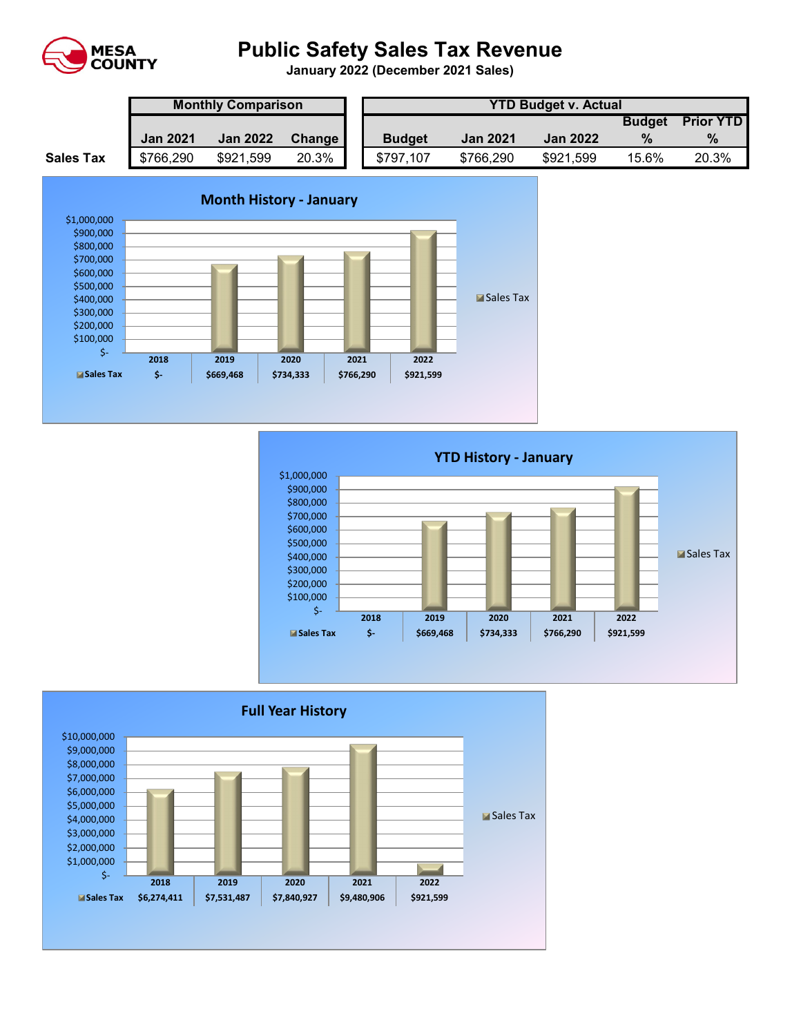

# **Public Safety Sales Tax Revenue**

**January 2022 (December 2021 Sales)** 

|                  | <b>Monthly Comparison</b> |                 |        |  | <b>YTD Budget v. Actual</b> |                 |                 |               |                  |  |  |
|------------------|---------------------------|-----------------|--------|--|-----------------------------|-----------------|-----------------|---------------|------------------|--|--|
|                  |                           |                 |        |  |                             |                 |                 | <b>Budget</b> | <b>Prior YTD</b> |  |  |
|                  | <b>Jan 2021</b>           | <b>Jan 2022</b> | Change |  | <b>Budget</b>               | <b>Jan 2021</b> | <b>Jan 2022</b> | $\frac{0}{2}$ | $\%$             |  |  |
| <b>Sales Tax</b> | \$766,290                 | \$921,599       | 20.3%  |  | \$797,107                   | \$766,290       | \$921,599       | 15.6%         | 20.3%            |  |  |